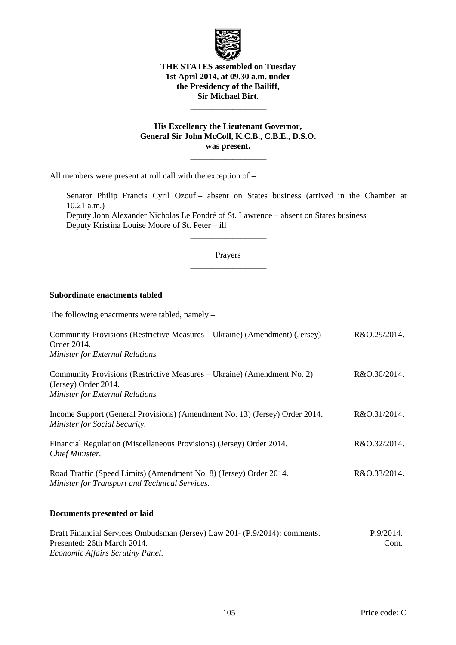

### **THE STATES assembled on Tuesday 1st April 2014, at 09.30 a.m. under the Presidency of the Bailiff, Sir Michael Birt.**

## **His Excellency the Lieutenant Governor, General Sir John McColl, K.C.B., C.B.E., D.S.O. was present.**

 $\frac{1}{\sqrt{2\pi}}\left[\frac{1}{\sqrt{2\pi}}\frac{1}{\sqrt{2\pi}}\frac{1}{\sqrt{2\pi}}\frac{1}{\sqrt{2\pi}}\frac{1}{\sqrt{2\pi}}\frac{1}{\sqrt{2\pi}}\frac{1}{\sqrt{2\pi}}\frac{1}{\sqrt{2\pi}}\frac{1}{\sqrt{2\pi}}\frac{1}{\sqrt{2\pi}}\frac{1}{\sqrt{2\pi}}\frac{1}{\sqrt{2\pi}}\frac{1}{\sqrt{2\pi}}\frac{1}{\sqrt{2\pi}}\frac{1}{\sqrt{2\pi}}\frac{1}{\sqrt{2\pi}}\frac{1}{\sqrt{2\pi}}\frac$ 

 $\frac{1}{\sqrt{2\pi}}\left[\frac{1}{\sqrt{2\pi}}\frac{1}{\sqrt{2\pi}}\frac{1}{\sqrt{2\pi}}\frac{1}{\sqrt{2\pi}}\frac{1}{\sqrt{2\pi}}\frac{1}{\sqrt{2\pi}}\frac{1}{\sqrt{2\pi}}\frac{1}{\sqrt{2\pi}}\frac{1}{\sqrt{2\pi}}\frac{1}{\sqrt{2\pi}}\frac{1}{\sqrt{2\pi}}\frac{1}{\sqrt{2\pi}}\frac{1}{\sqrt{2\pi}}\frac{1}{\sqrt{2\pi}}\frac{1}{\sqrt{2\pi}}\frac{1}{\sqrt{2\pi}}\frac{1}{\sqrt{2\pi}}\frac$ 

All members were present at roll call with the exception of –

Senator Philip Francis Cyril Ozouf – absent on States business (arrived in the Chamber at 10.21 a.m.)

Deputy John Alexander Nicholas Le Fondré of St. Lawrence – absent on States business Deputy Kristina Louise Moore of St. Peter – ill

## Prayers  $\frac{1}{\sqrt{2\pi}}\left[\frac{1}{\sqrt{2\pi}}\frac{1}{\sqrt{2\pi}}\frac{1}{\sqrt{2\pi}}\frac{1}{\sqrt{2\pi}}\frac{1}{\sqrt{2\pi}}\frac{1}{\sqrt{2\pi}}\frac{1}{\sqrt{2\pi}}\frac{1}{\sqrt{2\pi}}\frac{1}{\sqrt{2\pi}}\frac{1}{\sqrt{2\pi}}\frac{1}{\sqrt{2\pi}}\frac{1}{\sqrt{2\pi}}\frac{1}{\sqrt{2\pi}}\frac{1}{\sqrt{2\pi}}\frac{1}{\sqrt{2\pi}}\frac{1}{\sqrt{2\pi}}\frac{1}{\sqrt{2\pi}}\frac$

 $\frac{1}{\sqrt{2\pi}}\left[\frac{1}{\sqrt{2\pi}}\frac{1}{\sqrt{2\pi}}\frac{1}{\sqrt{2\pi}}\frac{1}{\sqrt{2\pi}}\frac{1}{\sqrt{2\pi}}\frac{1}{\sqrt{2\pi}}\frac{1}{\sqrt{2\pi}}\frac{1}{\sqrt{2\pi}}\frac{1}{\sqrt{2\pi}}\frac{1}{\sqrt{2\pi}}\frac{1}{\sqrt{2\pi}}\frac{1}{\sqrt{2\pi}}\frac{1}{\sqrt{2\pi}}\frac{1}{\sqrt{2\pi}}\frac{1}{\sqrt{2\pi}}\frac{1}{\sqrt{2\pi}}\frac{1}{\sqrt{2\pi}}\frac$ 

### **Subordinate enactments tabled**

The following enactments were tabled, namely –

| Community Provisions (Restrictive Measures – Ukraine) (Amendment) (Jersey)<br>Order 2014.                                                     | R&O.29/2014.      |
|-----------------------------------------------------------------------------------------------------------------------------------------------|-------------------|
| Minister for External Relations.                                                                                                              |                   |
| Community Provisions (Restrictive Measures – Ukraine) (Amendment No. 2)<br>(Jersey) Order 2014.<br>Minister for External Relations.           | R&O.30/2014.      |
| Income Support (General Provisions) (Amendment No. 13) (Jersey) Order 2014.<br>Minister for Social Security.                                  | R&O.31/2014.      |
| Financial Regulation (Miscellaneous Provisions) (Jersey) Order 2014.<br>Chief Minister.                                                       | R&O.32/2014.      |
| Road Traffic (Speed Limits) (Amendment No. 8) (Jersey) Order 2014.<br>Minister for Transport and Technical Services.                          | R&O.33/2014.      |
| Documents presented or laid                                                                                                                   |                   |
| Draft Financial Services Ombudsman (Jersey) Law 201- (P.9/2014): comments.<br>Presented: 26th March 2014.<br>Economic Affairs Scrutiny Panel. | P.9/2014.<br>Com. |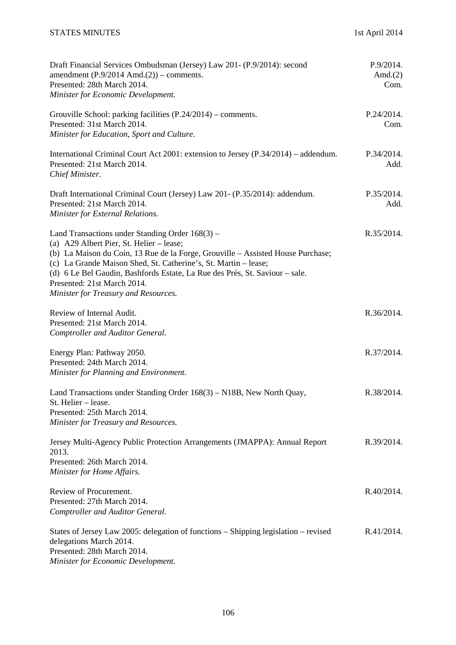| Draft Financial Services Ombudsman (Jersey) Law 201- (P.9/2014): second<br>amendment $(P.9/2014 \text{ Amd.}(2))$ – comments.<br>Presented: 28th March 2014.<br>Minister for Economic Development.                                                                                                                                                                                                        | P.9/2014.<br>Amd. $(2)$<br>Com. |
|-----------------------------------------------------------------------------------------------------------------------------------------------------------------------------------------------------------------------------------------------------------------------------------------------------------------------------------------------------------------------------------------------------------|---------------------------------|
| Grouville School: parking facilities (P.24/2014) – comments.<br>Presented: 31st March 2014.<br>Minister for Education, Sport and Culture.                                                                                                                                                                                                                                                                 | P.24/2014.<br>Com.              |
| International Criminal Court Act 2001: extension to Jersey (P.34/2014) – addendum.<br>Presented: 21st March 2014.<br>Chief Minister.                                                                                                                                                                                                                                                                      | P.34/2014.<br>Add.              |
| Draft International Criminal Court (Jersey) Law 201- (P.35/2014): addendum.<br>Presented: 21st March 2014.<br>Minister for External Relations.                                                                                                                                                                                                                                                            | P.35/2014.<br>Add.              |
| Land Transactions under Standing Order $168(3)$ –<br>(a) A29 Albert Pier, St. Helier – lease;<br>(b) La Maison du Coin, 13 Rue de la Forge, Grouville – Assisted House Purchase;<br>(c) La Grande Maison Shed, St. Catherine's, St. Martin - lease;<br>(d) 6 Le Bel Gaudin, Bashfords Estate, La Rue des Prés, St. Saviour – sale.<br>Presented: 21st March 2014.<br>Minister for Treasury and Resources. | R.35/2014.                      |
| Review of Internal Audit.<br>Presented: 21st March 2014.<br>Comptroller and Auditor General.                                                                                                                                                                                                                                                                                                              | R.36/2014.                      |
| Energy Plan: Pathway 2050.<br>Presented: 24th March 2014.<br>Minister for Planning and Environment.                                                                                                                                                                                                                                                                                                       | R.37/2014.                      |
| Land Transactions under Standing Order 168(3) – N18B, New North Quay,<br>St. Helier - lease.<br>Presented: 25th March 2014.<br>Minister for Treasury and Resources.                                                                                                                                                                                                                                       | R.38/2014.                      |
| Jersey Multi-Agency Public Protection Arrangements (JMAPPA): Annual Report<br>2013.<br>Presented: 26th March 2014.<br>Minister for Home Affairs.                                                                                                                                                                                                                                                          | R.39/2014.                      |
| Review of Procurement.<br>Presented: 27th March 2014.<br>Comptroller and Auditor General.                                                                                                                                                                                                                                                                                                                 | R.40/2014.                      |
| States of Jersey Law 2005: delegation of functions - Shipping legislation - revised<br>delegations March 2014.<br>Presented: 28th March 2014.<br>Minister for Economic Development.                                                                                                                                                                                                                       | R.41/2014.                      |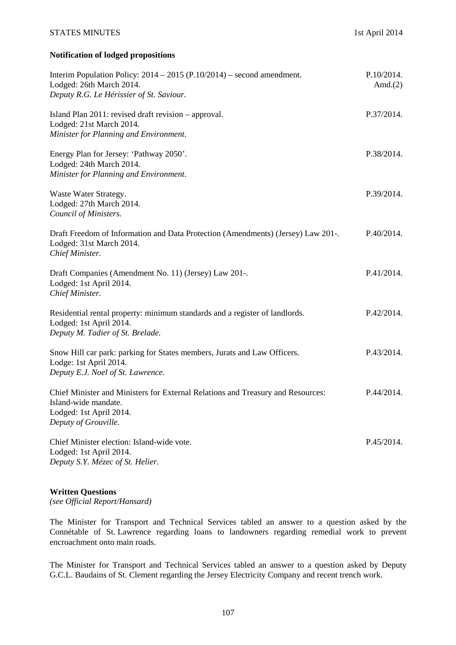#### STATES MINUTES 1st April 2014

## **Notification of lodged propositions**

| Interim Population Policy: $2014 - 2015$ (P.10/2014) – second amendment.<br>Lodged: 26th March 2014.<br>Deputy R.G. Le Hérissier of St. Saviour.           | P.10/2014.<br>Amd. $(2)$ |
|------------------------------------------------------------------------------------------------------------------------------------------------------------|--------------------------|
| Island Plan 2011: revised draft revision - approval.<br>Lodged: 21st March 2014.<br>Minister for Planning and Environment.                                 | P.37/2014.               |
| Energy Plan for Jersey: 'Pathway 2050'.<br>Lodged: 24th March 2014.<br>Minister for Planning and Environment.                                              | P.38/2014.               |
| Waste Water Strategy.<br>Lodged: 27th March 2014.<br>Council of Ministers.                                                                                 | P.39/2014.               |
| Draft Freedom of Information and Data Protection (Amendments) (Jersey) Law 201-.<br>Lodged: 31st March 2014.<br>Chief Minister.                            | P.40/2014.               |
| Draft Companies (Amendment No. 11) (Jersey) Law 201-.<br>Lodged: 1st April 2014.<br>Chief Minister.                                                        | P.41/2014.               |
| Residential rental property: minimum standards and a register of landlords.<br>Lodged: 1st April 2014.<br>Deputy M. Tadier of St. Brelade.                 | P.42/2014.               |
| Snow Hill car park: parking for States members, Jurats and Law Officers.<br>Lodge: 1st April 2014.<br>Deputy E.J. Noel of St. Lawrence.                    | P.43/2014.               |
| Chief Minister and Ministers for External Relations and Treasury and Resources:<br>Island-wide mandate.<br>Lodged: 1st April 2014.<br>Deputy of Grouville. | P.44/2014.               |
| Chief Minister election: Island-wide vote.<br>Lodged: 1st April 2014.<br>Deputy S.Y. Mézec of St. Helier.                                                  | P.45/2014.               |

#### **Written Questions**

*(see Official Report/Hansard)* 

The Minister for Transport and Technical Services tabled an answer to a question asked by the Connétable of St. Lawrence regarding loans to landowners regarding remedial work to prevent encroachment onto main roads.

The Minister for Transport and Technical Services tabled an answer to a question asked by Deputy G.C.L. Baudains of St. Clement regarding the Jersey Electricity Company and recent trench work.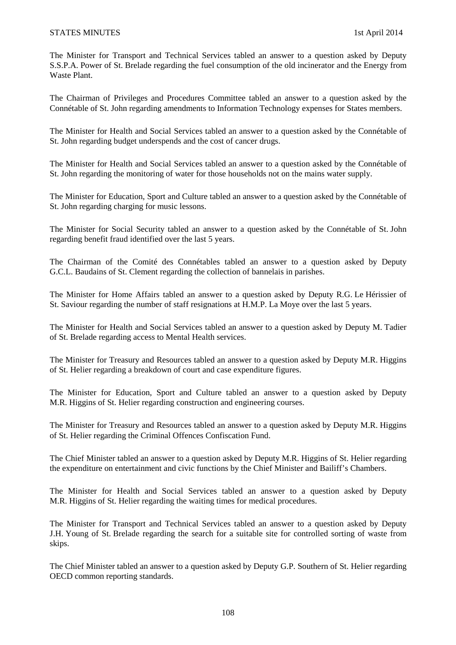The Minister for Transport and Technical Services tabled an answer to a question asked by Deputy S.S.P.A. Power of St. Brelade regarding the fuel consumption of the old incinerator and the Energy from Waste Plant.

The Chairman of Privileges and Procedures Committee tabled an answer to a question asked by the Connétable of St. John regarding amendments to Information Technology expenses for States members.

The Minister for Health and Social Services tabled an answer to a question asked by the Connétable of St. John regarding budget underspends and the cost of cancer drugs.

The Minister for Health and Social Services tabled an answer to a question asked by the Connétable of St. John regarding the monitoring of water for those households not on the mains water supply.

The Minister for Education, Sport and Culture tabled an answer to a question asked by the Connétable of St. John regarding charging for music lessons.

The Minister for Social Security tabled an answer to a question asked by the Connétable of St. John regarding benefit fraud identified over the last 5 years.

The Chairman of the Comité des Connétables tabled an answer to a question asked by Deputy G.C.L. Baudains of St. Clement regarding the collection of bannelais in parishes.

The Minister for Home Affairs tabled an answer to a question asked by Deputy R.G. Le Hérissier of St. Saviour regarding the number of staff resignations at H.M.P. La Moye over the last 5 years.

The Minister for Health and Social Services tabled an answer to a question asked by Deputy M. Tadier of St. Brelade regarding access to Mental Health services.

The Minister for Treasury and Resources tabled an answer to a question asked by Deputy M.R. Higgins of St. Helier regarding a breakdown of court and case expenditure figures.

The Minister for Education, Sport and Culture tabled an answer to a question asked by Deputy M.R. Higgins of St. Helier regarding construction and engineering courses.

The Minister for Treasury and Resources tabled an answer to a question asked by Deputy M.R. Higgins of St. Helier regarding the Criminal Offences Confiscation Fund.

The Chief Minister tabled an answer to a question asked by Deputy M.R. Higgins of St. Helier regarding the expenditure on entertainment and civic functions by the Chief Minister and Bailiff's Chambers.

The Minister for Health and Social Services tabled an answer to a question asked by Deputy M.R. Higgins of St. Helier regarding the waiting times for medical procedures.

The Minister for Transport and Technical Services tabled an answer to a question asked by Deputy J.H. Young of St. Brelade regarding the search for a suitable site for controlled sorting of waste from skips.

The Chief Minister tabled an answer to a question asked by Deputy G.P. Southern of St. Helier regarding OECD common reporting standards.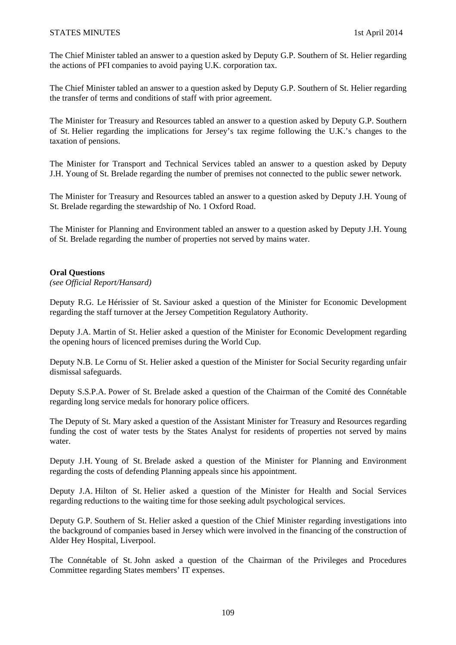### STATES MINUTES 1st April 2014

The Chief Minister tabled an answer to a question asked by Deputy G.P. Southern of St. Helier regarding the actions of PFI companies to avoid paying U.K. corporation tax.

The Chief Minister tabled an answer to a question asked by Deputy G.P. Southern of St. Helier regarding the transfer of terms and conditions of staff with prior agreement.

The Minister for Treasury and Resources tabled an answer to a question asked by Deputy G.P. Southern of St. Helier regarding the implications for Jersey's tax regime following the U.K.'s changes to the taxation of pensions.

The Minister for Transport and Technical Services tabled an answer to a question asked by Deputy J.H. Young of St. Brelade regarding the number of premises not connected to the public sewer network.

The Minister for Treasury and Resources tabled an answer to a question asked by Deputy J.H. Young of St. Brelade regarding the stewardship of No. 1 Oxford Road.

The Minister for Planning and Environment tabled an answer to a question asked by Deputy J.H. Young of St. Brelade regarding the number of properties not served by mains water.

### **Oral Questions**

*(see Official Report/Hansard)* 

Deputy R.G. Le Hérissier of St. Saviour asked a question of the Minister for Economic Development regarding the staff turnover at the Jersey Competition Regulatory Authority.

Deputy J.A. Martin of St. Helier asked a question of the Minister for Economic Development regarding the opening hours of licenced premises during the World Cup.

Deputy N.B. Le Cornu of St. Helier asked a question of the Minister for Social Security regarding unfair dismissal safeguards.

Deputy S.S.P.A. Power of St. Brelade asked a question of the Chairman of the Comité des Connétable regarding long service medals for honorary police officers.

The Deputy of St. Mary asked a question of the Assistant Minister for Treasury and Resources regarding funding the cost of water tests by the States Analyst for residents of properties not served by mains water.

Deputy J.H. Young of St. Brelade asked a question of the Minister for Planning and Environment regarding the costs of defending Planning appeals since his appointment.

Deputy J.A. Hilton of St. Helier asked a question of the Minister for Health and Social Services regarding reductions to the waiting time for those seeking adult psychological services.

Deputy G.P. Southern of St. Helier asked a question of the Chief Minister regarding investigations into the background of companies based in Jersey which were involved in the financing of the construction of Alder Hey Hospital, Liverpool.

The Connétable of St. John asked a question of the Chairman of the Privileges and Procedures Committee regarding States members' IT expenses.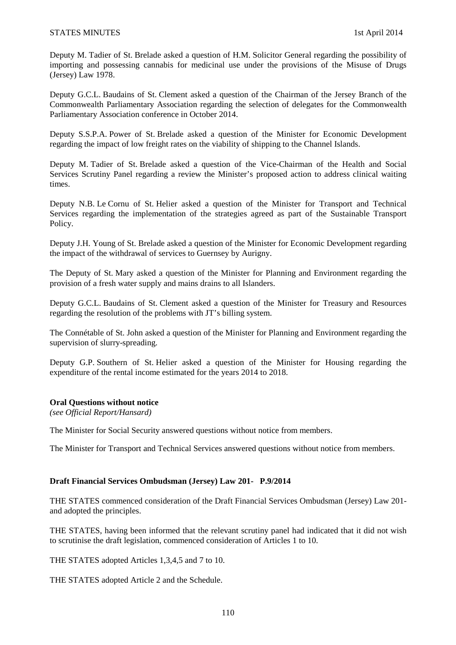Deputy M. Tadier of St. Brelade asked a question of H.M. Solicitor General regarding the possibility of importing and possessing cannabis for medicinal use under the provisions of the Misuse of Drugs (Jersey) Law 1978.

Deputy G.C.L. Baudains of St. Clement asked a question of the Chairman of the Jersey Branch of the Commonwealth Parliamentary Association regarding the selection of delegates for the Commonwealth Parliamentary Association conference in October 2014.

Deputy S.S.P.A. Power of St. Brelade asked a question of the Minister for Economic Development regarding the impact of low freight rates on the viability of shipping to the Channel Islands.

Deputy M. Tadier of St. Brelade asked a question of the Vice-Chairman of the Health and Social Services Scrutiny Panel regarding a review the Minister's proposed action to address clinical waiting times.

Deputy N.B. Le Cornu of St. Helier asked a question of the Minister for Transport and Technical Services regarding the implementation of the strategies agreed as part of the Sustainable Transport Policy.

Deputy J.H. Young of St. Brelade asked a question of the Minister for Economic Development regarding the impact of the withdrawal of services to Guernsey by Aurigny.

The Deputy of St. Mary asked a question of the Minister for Planning and Environment regarding the provision of a fresh water supply and mains drains to all Islanders.

Deputy G.C.L. Baudains of St. Clement asked a question of the Minister for Treasury and Resources regarding the resolution of the problems with JT's billing system.

The Connétable of St. John asked a question of the Minister for Planning and Environment regarding the supervision of slurry-spreading.

Deputy G.P. Southern of St. Helier asked a question of the Minister for Housing regarding the expenditure of the rental income estimated for the years 2014 to 2018.

### **Oral Questions without notice**

*(see Official Report/Hansard)* 

The Minister for Social Security answered questions without notice from members.

The Minister for Transport and Technical Services answered questions without notice from members.

### **Draft Financial Services Ombudsman (Jersey) Law 201- P.9/2014**

THE STATES commenced consideration of the Draft Financial Services Ombudsman (Jersey) Law 201 and adopted the principles.

THE STATES, having been informed that the relevant scrutiny panel had indicated that it did not wish to scrutinise the draft legislation, commenced consideration of Articles 1 to 10.

THE STATES adopted Articles 1,3,4,5 and 7 to 10.

THE STATES adopted Article 2 and the Schedule.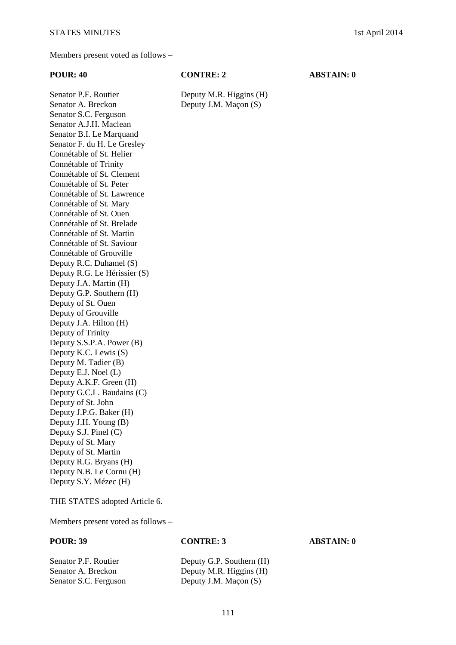# **POUR: 40 CONTRE: 2 ABSTAIN: 0**

Senator P.F. Routier Deputy M.R. Higgins (H)

Senator A. Breckon Deputy J.M. Maçon (S) Senator S.C. Ferguson Senator A.J.H. Maclean Senator B.I. Le Marquand Senator F. du H. Le Gresley Connétable of St. Helier Connétable of Trinity Connétable of St. Clement Connétable of St. Peter Connétable of St. Lawrence Connétable of St. Mary Connétable of St. Ouen Connétable of St. Brelade Connétable of St. Martin Connétable of St. Saviour Connétable of Grouville Deputy R.C. Duhamel (S) Deputy R.G. Le Hérissier (S) Deputy J.A. Martin (H) Deputy G.P. Southern (H) Deputy of St. Ouen Deputy of Grouville Deputy J.A. Hilton (H) Deputy of Trinity Deputy S.S.P.A. Power (B) Deputy K.C. Lewis (S) Deputy M. Tadier (B) Deputy E.J. Noel (L) Deputy A.K.F. Green (H) Deputy G.C.L. Baudains (C) Deputy of St. John Deputy J.P.G. Baker (H) Deputy J.H. Young (B) Deputy S.J. Pinel (C) Deputy of St. Mary Deputy of St. Martin Deputy R.G. Bryans (H) Deputy N.B. Le Cornu (H) Deputy S.Y. Mézec (H)

THE STATES adopted Article 6.

Members present voted as follows –

#### **POUR: 39 CONTRE: 3 ABSTAIN: 0**

| Senator P.F. Routier  | Deputy G.P. Southern (H) |
|-----------------------|--------------------------|
| Senator A. Breckon    | Deputy M.R. Higgins (H)  |
| Senator S.C. Ferguson | Deputy J.M. Maçon (S)    |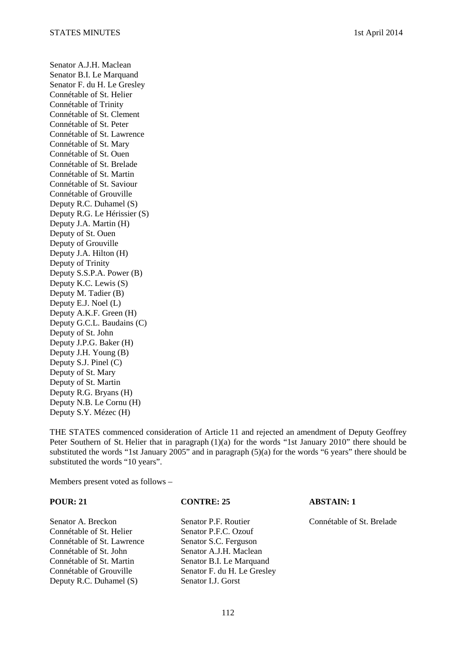Senator A.J.H. Maclean Senator B.I. Le Marquand Senator F. du H. Le Gresley Connétable of St. Helier Connétable of Trinity Connétable of St. Clement Connétable of St. Peter Connétable of St. Lawrence Connétable of St. Mary Connétable of St. Ouen Connétable of St. Brelade Connétable of St. Martin Connétable of St. Saviour Connétable of Grouville Deputy R.C. Duhamel (S) Deputy R.G. Le Hérissier (S) Deputy J.A. Martin (H) Deputy of St. Ouen Deputy of Grouville Deputy J.A. Hilton (H) Deputy of Trinity Deputy S.S.P.A. Power (B) Deputy K.C. Lewis (S) Deputy M. Tadier (B) Deputy E.J. Noel (L) Deputy A.K.F. Green (H) Deputy G.C.L. Baudains (C) Deputy of St. John Deputy J.P.G. Baker (H) Deputy J.H. Young (B) Deputy S.J. Pinel (C) Deputy of St. Mary Deputy of St. Martin Deputy R.G. Bryans (H) Deputy N.B. Le Cornu (H) Deputy S.Y. Mézec (H)

THE STATES commenced consideration of Article 11 and rejected an amendment of Deputy Geoffrey Peter Southern of St. Helier that in paragraph (1)(a) for the words "1st January 2010" there should be substituted the words "1st January 2005" and in paragraph (5)(a) for the words "6 years" there should be substituted the words "10 years".

Members present voted as follows –

**POUR: 21 CONTRE: 25 ABSTAIN: 1** 

Connétable of St. Helier Senator P.F.C. Ozouf Connétable of St. Lawrence Senator S.C. Ferguson Connétable of St. John Senator A.J.H. Maclean Connétable of St. Martin Senator B.I. Le Marquand Connétable of Grouville Senator F. du H. Le Gresley Deputy R.C. Duhamel (S) Senator I.J. Gorst

Senator A. Breckon Senator P.F. Routier Connétable of St. Brelade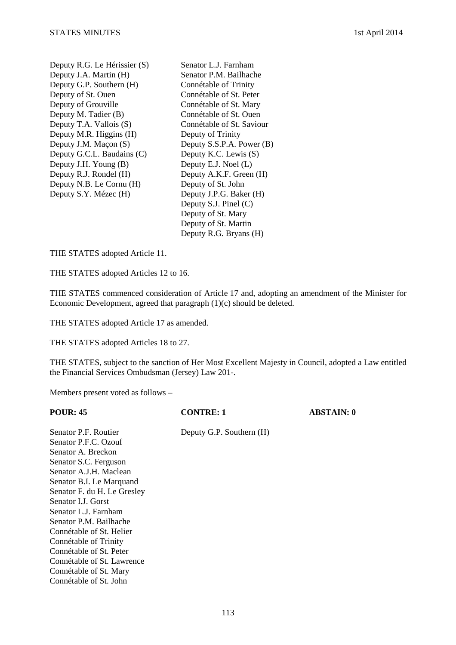Deputy R.G. Le Hérissier (S) Senator L.J. Farnham Deputy J.A. Martin (H) Senator P.M. Bailhache Deputy G.P. Southern (H) Connétable of Trinity Deputy of St. Ouen Connétable of St. Peter Deputy of Grouville Connétable of St. Mary Deputy M. Tadier (B) Connétable of St. Ouen<br>Deputy T.A. Vallois (S) Connétable of St. Saviour Deputy T.A. Vallois  $(S)$ Deputy M.R. Higgins (H) Deputy of Trinity Deputy G.C.L. Baudains (C) Deputy K.C. Lewis (S) Deputy J.H. Young (B) Deputy E.J. Noel (L) Deputy R.J. Rondel (H) Deputy A.K.F. Green (H) Deputy N.B. Le Cornu (H) Deputy of St. John Deputy S.Y. Mézec (H) Deputy J.P.G. Baker (H)

Deputy J.M. Maçon (S) Deputy S.S.P.A. Power (B) Deputy S.J. Pinel (C) Deputy of St. Mary Deputy of St. Martin Deputy R.G. Bryans (H)

THE STATES adopted Article 11.

THE STATES adopted Articles 12 to 16.

THE STATES commenced consideration of Article 17 and, adopting an amendment of the Minister for Economic Development, agreed that paragraph (1)(c) should be deleted.

THE STATES adopted Article 17 as amended.

THE STATES adopted Articles 18 to 27.

THE STATES, subject to the sanction of Her Most Excellent Majesty in Council, adopted a Law entitled the Financial Services Ombudsman (Jersey) Law 201-.

Members present voted as follows –

| POUR: 45                    | <b>CONTRE: 1</b>         | <b>ABSTAIN: 0</b> |
|-----------------------------|--------------------------|-------------------|
| Senator P.F. Routier        | Deputy G.P. Southern (H) |                   |
| Senator P.F.C. Ozouf        |                          |                   |
| Senator A. Breckon          |                          |                   |
| Senator S.C. Ferguson       |                          |                   |
| Senator A.J.H. Maclean      |                          |                   |
| Senator B.I. Le Marquand    |                          |                   |
| Senator F. du H. Le Gresley |                          |                   |
| Senator LJ. Gorst           |                          |                   |
| Senator L.J. Farnham        |                          |                   |
| Senator P.M. Bailhache      |                          |                   |
| Connétable of St. Helier    |                          |                   |
| Connétable of Trinity       |                          |                   |
| Connétable of St. Peter     |                          |                   |
| Connétable of St. Lawrence  |                          |                   |
| Connétable of St. Mary      |                          |                   |
| Connétable of St. John      |                          |                   |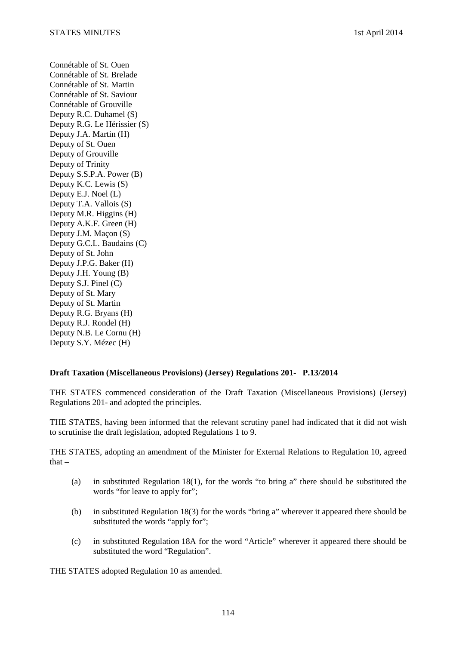Connétable of St. Ouen Connétable of St. Brelade Connétable of St. Martin Connétable of St. Saviour Connétable of Grouville Deputy R.C. Duhamel (S) Deputy R.G. Le Hérissier (S) Deputy J.A. Martin (H) Deputy of St. Ouen Deputy of Grouville Deputy of Trinity Deputy S.S.P.A. Power (B) Deputy K.C. Lewis (S) Deputy E.J. Noel (L) Deputy T.A. Vallois (S) Deputy M.R. Higgins (H) Deputy A.K.F. Green (H) Deputy J.M. Maçon (S) Deputy G.C.L. Baudains (C) Deputy of St. John Deputy J.P.G. Baker (H) Deputy J.H. Young (B) Deputy S.J. Pinel (C) Deputy of St. Mary Deputy of St. Martin Deputy R.G. Bryans (H) Deputy R.J. Rondel (H) Deputy N.B. Le Cornu (H) Deputy S.Y. Mézec (H)

### **Draft Taxation (Miscellaneous Provisions) (Jersey) Regulations 201- P.13/2014**

THE STATES commenced consideration of the Draft Taxation (Miscellaneous Provisions) (Jersey) Regulations 201- and adopted the principles.

THE STATES, having been informed that the relevant scrutiny panel had indicated that it did not wish to scrutinise the draft legislation, adopted Regulations 1 to 9.

THE STATES, adopting an amendment of the Minister for External Relations to Regulation 10, agreed that  $-$ 

- (a) in substituted Regulation 18(1), for the words "to bring a" there should be substituted the words "for leave to apply for";
- (b) in substituted Regulation 18(3) for the words "bring a" wherever it appeared there should be substituted the words "apply for";
- (c) in substituted Regulation 18A for the word "Article" wherever it appeared there should be substituted the word "Regulation".

THE STATES adopted Regulation 10 as amended.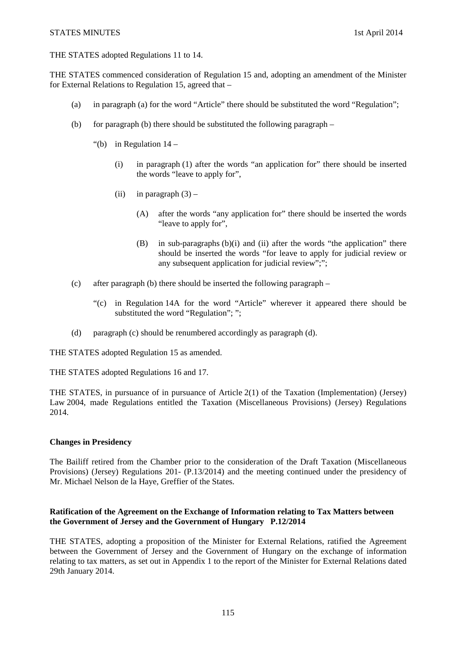#### STATES MINUTES 1st April 2014

THE STATES adopted Regulations 11 to 14.

THE STATES commenced consideration of Regulation 15 and, adopting an amendment of the Minister for External Relations to Regulation 15, agreed that –

- (a) in paragraph (a) for the word "Article" there should be substituted the word "Regulation";
- (b) for paragraph (b) there should be substituted the following paragraph
	- "(b) in Regulation  $14$ 
		- (i) in paragraph (1) after the words "an application for" there should be inserted the words "leave to apply for",
		- (ii) in paragraph  $(3)$ 
			- (A) after the words "any application for" there should be inserted the words "leave to apply for",
			- (B) in sub-paragraphs (b)(i) and (ii) after the words "the application" there should be inserted the words "for leave to apply for judicial review or any subsequent application for judicial review";";
- (c) after paragraph (b) there should be inserted the following paragraph
	- "(c) in Regulation 14A for the word "Article" wherever it appeared there should be substituted the word "Regulation"; ";
- (d) paragraph (c) should be renumbered accordingly as paragraph (d).

THE STATES adopted Regulation 15 as amended.

THE STATES adopted Regulations 16 and 17.

THE STATES, in pursuance of in pursuance of Article 2(1) of the Taxation (Implementation) (Jersey) Law 2004, made Regulations entitled the Taxation (Miscellaneous Provisions) (Jersey) Regulations 2014.

### **Changes in Presidency**

The Bailiff retired from the Chamber prior to the consideration of the Draft Taxation (Miscellaneous Provisions) (Jersey) Regulations 201- (P.13/2014) and the meeting continued under the presidency of Mr. Michael Nelson de la Haye, Greffier of the States.

### **Ratification of the Agreement on the Exchange of Information relating to Tax Matters between the Government of Jersey and the Government of Hungary P.12/2014**

THE STATES, adopting a proposition of the Minister for External Relations, ratified the Agreement between the Government of Jersey and the Government of Hungary on the exchange of information relating to tax matters, as set out in Appendix 1 to the report of the Minister for External Relations dated 29th January 2014.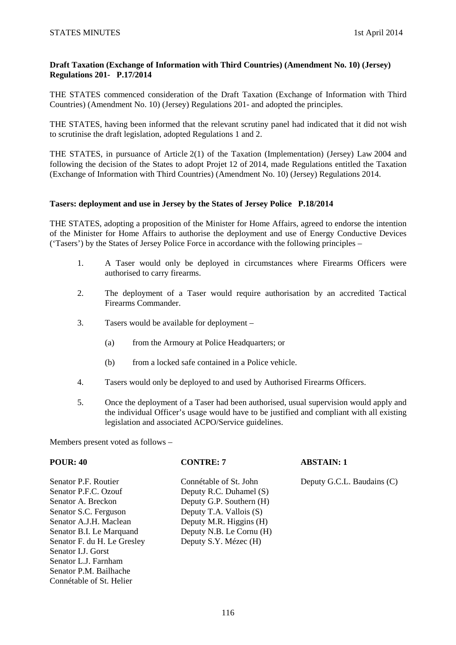## **Draft Taxation (Exchange of Information with Third Countries) (Amendment No. 10) (Jersey) Regulations 201- P.17/2014**

THE STATES commenced consideration of the Draft Taxation (Exchange of Information with Third Countries) (Amendment No. 10) (Jersey) Regulations 201- and adopted the principles.

THE STATES, having been informed that the relevant scrutiny panel had indicated that it did not wish to scrutinise the draft legislation, adopted Regulations 1 and 2.

THE STATES, in pursuance of Article 2(1) of the Taxation (Implementation) (Jersey) Law 2004 and following the decision of the States to adopt Projet 12 of 2014, made Regulations entitled the Taxation (Exchange of Information with Third Countries) (Amendment No. 10) (Jersey) Regulations 2014.

## **Tasers: deployment and use in Jersey by the States of Jersey Police P.18/2014**

THE STATES, adopting a proposition of the Minister for Home Affairs, agreed to endorse the intention of the Minister for Home Affairs to authorise the deployment and use of Energy Conductive Devices ('Tasers') by the States of Jersey Police Force in accordance with the following principles –

- 1. A Taser would only be deployed in circumstances where Firearms Officers were authorised to carry firearms.
- 2. The deployment of a Taser would require authorisation by an accredited Tactical Firearms Commander.
- 3. Tasers would be available for deployment
	- (a) from the Armoury at Police Headquarters; or
	- (b) from a locked safe contained in a Police vehicle.
- 4. Tasers would only be deployed to and used by Authorised Firearms Officers.
- 5. Once the deployment of a Taser had been authorised, usual supervision would apply and the individual Officer's usage would have to be justified and compliant with all existing legislation and associated ACPO/Service guidelines.

Members present voted as follows –

Connétable of St. Helier

# **POUR: 40 CONTRE: 7 ABSTAIN: 1** Senator P.F. Routier Connétable of St. John Deputy G.C.L. Baudains (C) Senator P.F.C. Ozouf Deputy R.C. Duhamel (S) Senator A. Breckon Deputy G.P. Southern (H) Senator S.C. Ferguson Deputy T.A. Vallois (S) Senator A.J.H. Maclean Deputy M.R. Higgins (H) Senator B.I. Le Marquand Deputy N.B. Le Cornu (H) Senator F. du H. Le Gresley Deputy S.Y. Mézec (H) Senator I.J. Gorst Senator L.J. Farnham Senator P.M. Bailhache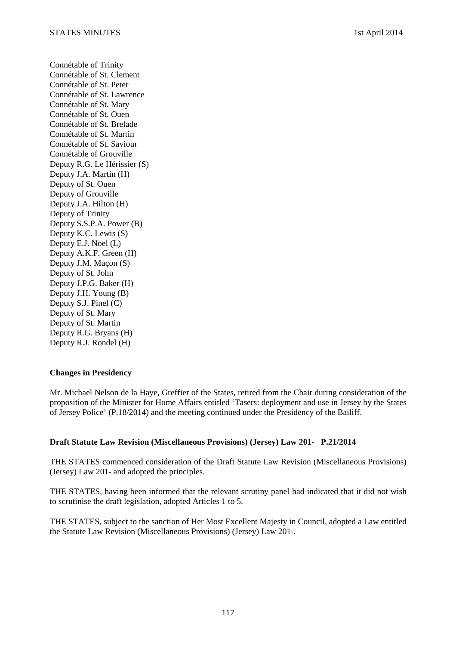Connétable of Trinity Connétable of St. Clement Connétable of St. Peter Connétable of St. Lawrence Connétable of St. Mary Connétable of St. Ouen Connétable of St. Brelade Connétable of St. Martin Connétable of St. Saviour Connétable of Grouville Deputy R.G. Le Hérissier (S) Deputy J.A. Martin (H) Deputy of St. Ouen Deputy of Grouville Deputy J.A. Hilton (H) Deputy of Trinity Deputy S.S.P.A. Power (B) Deputy K.C. Lewis (S) Deputy E.J. Noel (L) Deputy A.K.F. Green (H) Deputy J.M. Maçon (S) Deputy of St. John Deputy J.P.G. Baker (H) Deputy J.H. Young (B) Deputy S.J. Pinel (C) Deputy of St. Mary Deputy of St. Martin Deputy R.G. Bryans (H) Deputy R.J. Rondel (H)

### **Changes in Presidency**

Mr. Michael Nelson de la Haye, Greffier of the States, retired from the Chair during consideration of the proposition of the Minister for Home Affairs entitled 'Tasers: deployment and use in Jersey by the States of Jersey Police' (P.18/2014) and the meeting continued under the Presidency of the Bailiff.

#### **Draft Statute Law Revision (Miscellaneous Provisions) (Jersey) Law 201- P.21/2014**

THE STATES commenced consideration of the Draft Statute Law Revision (Miscellaneous Provisions) (Jersey) Law 201- and adopted the principles.

THE STATES, having been informed that the relevant scrutiny panel had indicated that it did not wish to scrutinise the draft legislation, adopted Articles 1 to 5.

THE STATES, subject to the sanction of Her Most Excellent Majesty in Council, adopted a Law entitled the Statute Law Revision (Miscellaneous Provisions) (Jersey) Law 201-.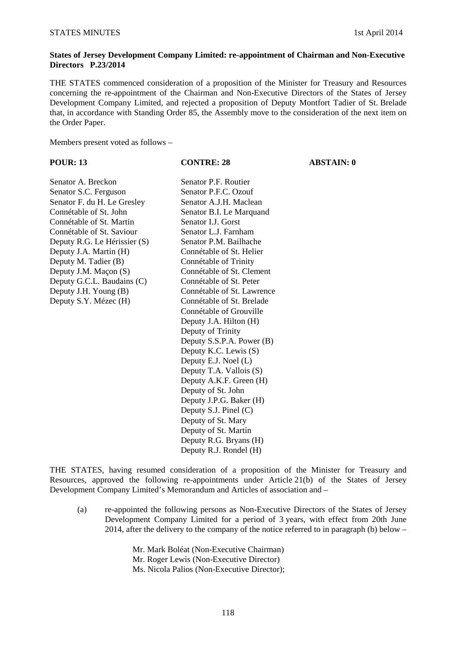### **States of Jersey Development Company Limited: re-appointment of Chairman and Non-Executive Directors P.23/2014**

THE STATES commenced consideration of a proposition of the Minister for Treasury and Resources concerning the re-appointment of the Chairman and Non-Executive Directors of the States of Jersey Development Company Limited, and rejected a proposition of Deputy Montfort Tadier of St. Brelade that, in accordance with Standing Order 85, the Assembly move to the consideration of the next item on the Order Paper.

Members present voted as follows –

### **POUR: 13 CONTRE: 28 ABSTAIN: 0**

Senator A. Breckon Senator P.F. Routier Senator S.C. Ferguson Senator P.F.C. Ozouf Senator F. du H. Le Gresley Senator A.J.H. Maclean Connétable of St. John Senator B.I. Le Marquand Connétable of St. Martin Senator I.J. Gorst<br>
Connétable of St. Saviour Senator L.J. Farnham Connétable of St. Saviour Deputy R.G. Le Hérissier (S) Senator P.M. Bailhache Deputy J.A. Martin (H) Connétable of St. Helier Deputy M. Tadier (B) Connétable of Trinity Deputy J.M. Maçon (S) Connétable of St. Clement Deputy G.C.L. Baudains (C) Connétable of St. Peter Deputy J.H. Young (B) Connétable of St. Lawrence Deputy S.Y. Mézec (H) Connétable of St. Brelade

Connétable of Grouville Deputy J.A. Hilton (H) Deputy of Trinity Deputy S.S.P.A. Power (B) Deputy K.C. Lewis (S) Deputy E.J. Noel (L) Deputy T.A. Vallois (S) Deputy A.K.F. Green (H) Deputy of St. John Deputy J.P.G. Baker (H) Deputy S.J. Pinel (C) Deputy of St. Mary Deputy of St. Martin Deputy R.G. Bryans (H) Deputy R.J. Rondel (H)

THE STATES, having resumed consideration of a proposition of the Minister for Treasury and Resources, approved the following re-appointments under Article 21(b) of the States of Jersey Development Company Limited's Memorandum and Articles of association and –

(a) re-appointed the following persons as Non-Executive Directors of the States of Jersey Development Company Limited for a period of 3 years, with effect from 20th June 2014, after the delivery to the company of the notice referred to in paragraph (b) below –

> Mr. Mark Boléat (Non-Executive Chairman) Mr. Roger Lewis (Non-Executive Director) Ms. Nicola Palios (Non-Executive Director);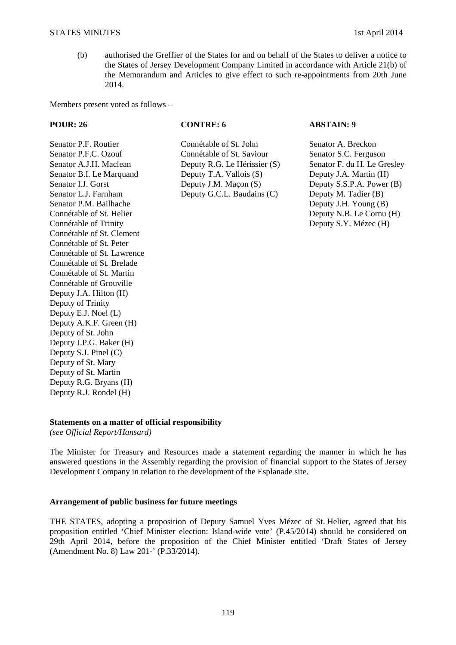(b) authorised the Greffier of the States for and on behalf of the States to deliver a notice to the States of Jersey Development Company Limited in accordance with Article 21(b) of the Memorandum and Articles to give effect to such re-appointments from 20th June 2014.

Members present voted as follows –

Senator P.M. Bailhache Deputy J.H. Young (B) Connétable of St. Helier Deputy N.B. Le Cornu (H) Connétable of Trinity **Deputy S.Y. Mézec (H)** Connétable of St. Clement Connétable of St. Peter Connétable of St. Lawrence Connétable of St. Brelade Connétable of St. Martin Connétable of Grouville Deputy J.A. Hilton (H) Deputy of Trinity Deputy E.J. Noel (L) Deputy A.K.F. Green (H) Deputy of St. John Deputy J.P.G. Baker (H) Deputy S.J. Pinel (C) Deputy of St. Mary Deputy of St. Martin Deputy R.G. Bryans (H) Deputy R.J. Rondel (H)

Senator P.F. Routier Connétable of St. John Senator A. Breckon Senator P.F.C. Ozouf Connétable of St. Saviour Senator S.C. Ferguson Senator A.J.H. Maclean Deputy R.G. Le Hérissier (S) Senator F. du H. Le Gresley Senator B.I. Le Marquand Deputy T.A. Vallois (S) Deputy J.A. Martin (H) Senator I.J. Gorst Deputy J.M. Macon (S) Deputy S.S.P.A. Power (B) Senator L.J. Farnham Deputy G.C.L. Baudains (C) Deputy M. Tadier (B)

**POUR: 26 CONTRE: 6 ABSTAIN: 9** 

## **Statements on a matter of official responsibility**

*(see Official Report/Hansard)* 

The Minister for Treasury and Resources made a statement regarding the manner in which he has answered questions in the Assembly regarding the provision of financial support to the States of Jersey Development Company in relation to the development of the Esplanade site.

### **Arrangement of public business for future meetings**

THE STATES, adopting a proposition of Deputy Samuel Yves Mézec of St. Helier, agreed that his proposition entitled 'Chief Minister election: Island-wide vote' (P.45/2014) should be considered on 29th April 2014, before the proposition of the Chief Minister entitled 'Draft States of Jersey (Amendment No. 8) Law 201-' (P.33/2014).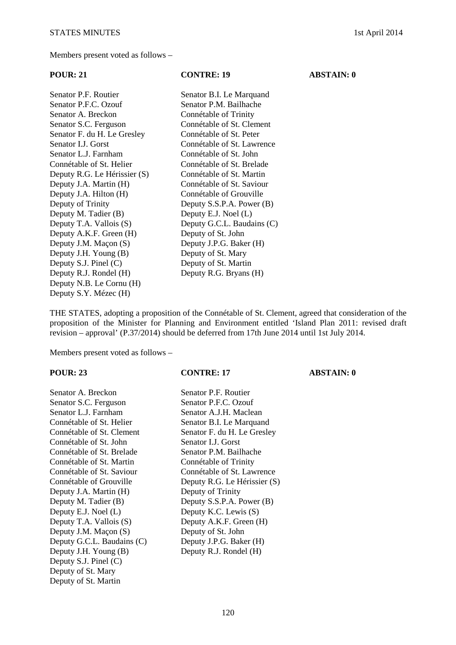Members present voted as follows –

| $\sim$                   |
|--------------------------|
| Senator B.I. Le Marquand |
| Senator P.M. Bailhache   |
|                          |

| Schatol T.T.C. Ozoui         |
|------------------------------|
| Senator A. Breckon           |
| Senator S.C. Ferguson        |
| Senator F. du H. Le Gresley  |
| Senator I.J. Gorst           |
| Senator L.J. Farnham         |
| Connétable of St. Helier     |
| Deputy R.G. Le Hérissier (S) |
| Deputy J.A. Martin (H)       |
| Deputy J.A. Hilton (H)       |
| Deputy of Trinity            |
| Deputy M. Tadier (B)         |
| Deputy T.A. Vallois (S)      |
| Deputy A.K.F. Green (H)      |
| Deputy J.M. Maçon (S)        |
| Deputy J.H. Young (B)        |
| Deputy S.J. Pinel (C)        |
| Deputy R.J. Rondel (H)       |
| Deputy N.B. Le Cornu (H)     |
| Deputy S.Y. Mézec (H)        |

Connétable of Trinity Connétable of St. Clement Connétable of St. Peter Connétable of St. Lawrence Connétable of St. John Connétable of St. Brelade Connétable of St. Martin Connétable of St. Saviour Connétable of Grouville Deputy S.S.P.A. Power  $(B)$ Deputy E.J. Noel (L) Deputy G.C.L. Baudains (C) Deputy of St. John Deputy J.P.G. Baker (H) Deputy of St. Mary Deputy of St. Martin Deputy R.G. Bryans (H)

THE STATES, adopting a proposition of the Connétable of St. Clement, agreed that consideration of the proposition of the Minister for Planning and Environment entitled 'Island Plan 2011: revised draft revision – approval' (P.37/2014) should be deferred from 17th June 2014 until 1st July 2014.

Members present voted as follows –

# **POUR: 23 CONTRE: 17 ABSTAIN: 0**

Senator A. Breckon Senator S.C. Ferguson Senator L.J. Farnham Connétable of St. Helier Connétable of St. Clement Connétable of St. John Connétable of St. Brelade Connétable of St. Martin Connétable of St. Saviour Deputy J.A. Martin (H) Deputy M. Tadier (B) Deputy E.J. Noel  $(L)$ Deputy T.A. Vallois  $(S)$ Deputy J.M. Maçon (S) Deputy G.C.L. Baudains  $(C)$ Deputy J.H. Young  $(B)$ Deputy S.J. Pinel (C) Deputy of St. Mary Deputy of St. Martin

| Senator A. Breckon          | Senator P.F. Routier         |
|-----------------------------|------------------------------|
| Senator S.C. Ferguson       | Senator P.F.C. Ozouf         |
| Senator L.J. Farnham        | Senator A.J.H. Maclean       |
| Connétable of St. Helier    | Senator B.I. Le Marquand     |
| Connétable of St. Clement   | Senator F. du H. Le Gresley  |
| Connétable of St. John      | Senator I.J. Gorst           |
| Connétable of St. Brelade   | Senator P.M. Bailhache       |
| Connétable of St. Martin    | Connétable of Trinity        |
| Connétable of St. Saviour   | Connétable of St. Lawrence   |
| Connétable of Grouville     | Deputy R.G. Le Hérissier (S) |
| Deputy J.A. Martin (H)      | Deputy of Trinity            |
| Deputy M. Tadier (B)        | Deputy S.S.P.A. Power (B)    |
| Deputy E.J. Noel (L)        | Deputy K.C. Lewis (S)        |
| Deputy T.A. Vallois (S)     | Deputy A.K.F. Green (H)      |
| Deputy J.M. Maçon (S)       | Deputy of St. John           |
| Deputy G.C.L. Baudains (C)  | Deputy J.P.G. Baker (H)      |
| Deputy J.H. Young (B)       | Deputy R.J. Rondel (H)       |
| Denuty $S$ I Pinel $(\cap)$ |                              |

# **POUR: 21 CONTRE: 19 ABSTAIN: 0**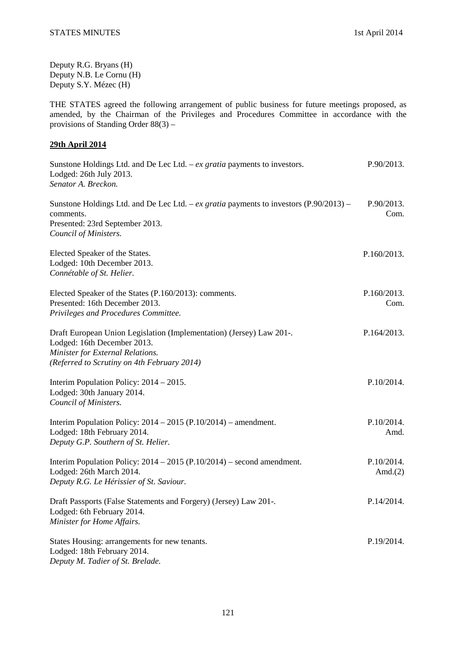Deputy R.G. Bryans (H) Deputy N.B. Le Cornu (H) Deputy S.Y. Mézec (H)

THE STATES agreed the following arrangement of public business for future meetings proposed, as amended, by the Chairman of the Privileges and Procedures Committee in accordance with the provisions of Standing Order 88(3) –

## **29th April 2014**

| Sunstone Holdings Ltd. and De Lec Ltd. $-ex$ gratia payments to investors.<br>Lodged: 26th July 2013.<br>Senator A. Breckon.                                                           | P.90/2013.               |
|----------------------------------------------------------------------------------------------------------------------------------------------------------------------------------------|--------------------------|
| Sunstone Holdings Ltd. and De Lec Ltd. – ex gratia payments to investors $(P.90/2013)$ –<br>comments.<br>Presented: 23rd September 2013.<br>Council of Ministers.                      | P.90/2013.<br>Com.       |
| Elected Speaker of the States.<br>Lodged: 10th December 2013.<br>Connétable of St. Helier.                                                                                             | P.160/2013.              |
| Elected Speaker of the States (P.160/2013): comments.<br>Presented: 16th December 2013.<br>Privileges and Procedures Committee.                                                        | P.160/2013.<br>Com.      |
| Draft European Union Legislation (Implementation) (Jersey) Law 201-.<br>Lodged: 16th December 2013.<br>Minister for External Relations.<br>(Referred to Scrutiny on 4th February 2014) | P.164/2013.              |
| Interim Population Policy: $2014 - 2015$ .<br>Lodged: 30th January 2014.<br>Council of Ministers.                                                                                      | P.10/2014.               |
| Interim Population Policy: $2014 - 2015$ (P.10/2014) – amendment.<br>Lodged: 18th February 2014.<br>Deputy G.P. Southern of St. Helier.                                                | P.10/2014.<br>Amd.       |
| Interim Population Policy: $2014 - 2015$ (P.10/2014) – second amendment.<br>Lodged: 26th March 2014.<br>Deputy R.G. Le Hérissier of St. Saviour.                                       | P.10/2014.<br>Amd. $(2)$ |
| Draft Passports (False Statements and Forgery) (Jersey) Law 201-.<br>Lodged: 6th February 2014.<br>Minister for Home Affairs.                                                          | P.14/2014.               |
| States Housing: arrangements for new tenants.<br>Lodged: 18th February 2014.<br>Deputy M. Tadier of St. Brelade.                                                                       | P.19/2014.               |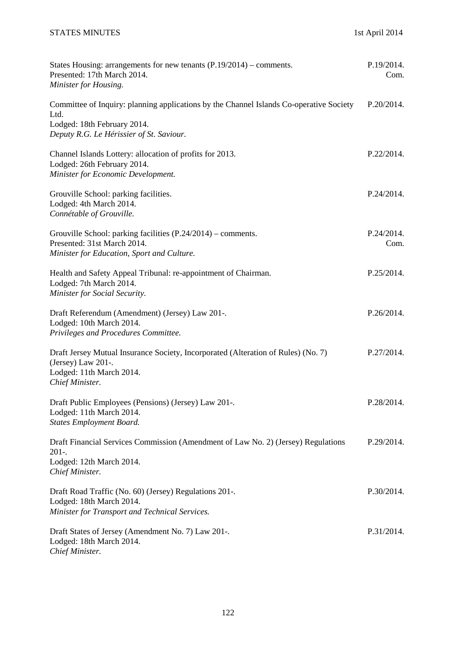| States Housing: arrangements for new tenants $(P.19/2014)$ – comments.<br>Presented: 17th March 2014.<br>Minister for Housing.                                             | P.19/2014.<br>Com. |
|----------------------------------------------------------------------------------------------------------------------------------------------------------------------------|--------------------|
| Committee of Inquiry: planning applications by the Channel Islands Co-operative Society<br>Ltd.<br>Lodged: 18th February 2014.<br>Deputy R.G. Le Hérissier of St. Saviour. | P.20/2014.         |
| Channel Islands Lottery: allocation of profits for 2013.<br>Lodged: 26th February 2014.<br>Minister for Economic Development.                                              | P.22/2014.         |
| Grouville School: parking facilities.<br>Lodged: 4th March 2014.<br>Connétable of Grouville.                                                                               | P.24/2014.         |
| Grouville School: parking facilities (P.24/2014) – comments.<br>Presented: 31st March 2014.<br>Minister for Education, Sport and Culture.                                  | P.24/2014.<br>Com. |
| Health and Safety Appeal Tribunal: re-appointment of Chairman.<br>Lodged: 7th March 2014.<br>Minister for Social Security.                                                 | P.25/2014.         |
| Draft Referendum (Amendment) (Jersey) Law 201-.<br>Lodged: 10th March 2014.<br>Privileges and Procedures Committee.                                                        | P.26/2014.         |
| Draft Jersey Mutual Insurance Society, Incorporated (Alteration of Rules) (No. 7)<br>(Jersey) Law 201-.<br>Lodged: 11th March 2014.<br>Chief Minister.                     | P.27/2014.         |
| Draft Public Employees (Pensions) (Jersey) Law 201-.<br>Lodged: 11th March 2014.<br><b>States Employment Board.</b>                                                        | P.28/2014.         |
| Draft Financial Services Commission (Amendment of Law No. 2) (Jersey) Regulations<br>$201-.$<br>Lodged: 12th March 2014.<br>Chief Minister.                                | P.29/2014.         |
| Draft Road Traffic (No. 60) (Jersey) Regulations 201-.<br>Lodged: 18th March 2014.<br>Minister for Transport and Technical Services.                                       | P.30/2014.         |
| Draft States of Jersey (Amendment No. 7) Law 201-.<br>Lodged: 18th March 2014.<br>Chief Minister.                                                                          | P.31/2014.         |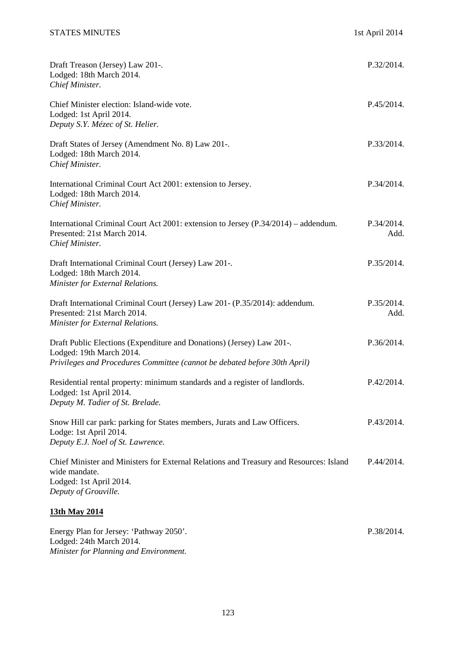Lodged: 24th March 2014.

*Minister for Planning and Environment.* 

| Draft Treason (Jersey) Law 201-.<br>Lodged: 18th March 2014.<br>Chief Minister.                                                                                                | P.32/2014.         |
|--------------------------------------------------------------------------------------------------------------------------------------------------------------------------------|--------------------|
| Chief Minister election: Island-wide vote.<br>Lodged: 1st April 2014.<br>Deputy S.Y. Mézec of St. Helier.                                                                      | P.45/2014.         |
| Draft States of Jersey (Amendment No. 8) Law 201-.<br>Lodged: 18th March 2014.<br>Chief Minister.                                                                              | P.33/2014.         |
| International Criminal Court Act 2001: extension to Jersey.<br>Lodged: 18th March 2014.<br>Chief Minister.                                                                     | P.34/2014.         |
| International Criminal Court Act 2001: extension to Jersey (P.34/2014) – addendum.<br>Presented: 21st March 2014.<br>Chief Minister.                                           | P.34/2014.<br>Add. |
| Draft International Criminal Court (Jersey) Law 201-.<br>Lodged: 18th March 2014.<br>Minister for External Relations.                                                          | P.35/2014.         |
| Draft International Criminal Court (Jersey) Law 201- (P.35/2014): addendum.<br>Presented: 21st March 2014.<br>Minister for External Relations.                                 | P.35/2014.<br>Add. |
| Draft Public Elections (Expenditure and Donations) (Jersey) Law 201-.<br>Lodged: 19th March 2014.<br>Privileges and Procedures Committee (cannot be debated before 30th April) | P.36/2014.         |
| Residential rental property: minimum standards and a register of landlords.<br>Lodged: 1st April 2014.<br>Deputy M. Tadier of St. Brelade.                                     | P.42/2014.         |
| Snow Hill car park: parking for States members, Jurats and Law Officers.<br>Lodge: 1st April 2014.<br>Deputy E.J. Noel of St. Lawrence.                                        | P.43/2014.         |
| Chief Minister and Ministers for External Relations and Treasury and Resources: Island<br>wide mandate.<br>Lodged: 1st April 2014.<br>Deputy of Grouville.                     | P.44/2014.         |
| 13th May 2014                                                                                                                                                                  |                    |
| Energy Plan for Jersey: 'Pathway 2050'.                                                                                                                                        | P.38/2014.         |

123